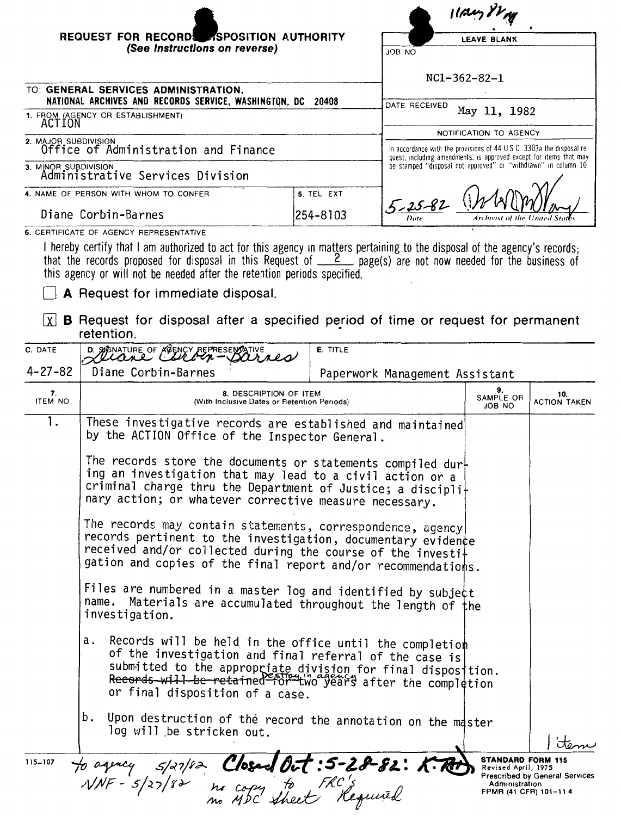| REQUEST FOR RECORDS ASPOSITION AUTHORITY<br>(See Instructions on reverse)                                                                                                                                                                                                                                                         |            | <b>LEAVE BLANK</b>                                                                                                                                            |  |  |
|-----------------------------------------------------------------------------------------------------------------------------------------------------------------------------------------------------------------------------------------------------------------------------------------------------------------------------------|------------|---------------------------------------------------------------------------------------------------------------------------------------------------------------|--|--|
|                                                                                                                                                                                                                                                                                                                                   |            | JOB NO                                                                                                                                                        |  |  |
|                                                                                                                                                                                                                                                                                                                                   |            | $NC1-362-82-1$                                                                                                                                                |  |  |
| TO: GENERAL SERVICES ADMINISTRATION,                                                                                                                                                                                                                                                                                              |            |                                                                                                                                                               |  |  |
| NATIONAL ARCHIVES AND RECORDS SERVICE, WASHINGTON, DC<br>20408                                                                                                                                                                                                                                                                    |            | DATE RECEIVED<br>May 11, 1982<br>NOTIFICATION TO AGENCY                                                                                                       |  |  |
| 1. FROM (AGENCY OR ESTABLISHMENT)<br>ACTION                                                                                                                                                                                                                                                                                       |            |                                                                                                                                                               |  |  |
| 2. MAJOR SUBDIVISION                                                                                                                                                                                                                                                                                                              |            |                                                                                                                                                               |  |  |
| Office of Administration and Finance                                                                                                                                                                                                                                                                                              |            | In accordance with the provisions of $44 \text{ U } S \text{ C}$ 3303a the disposal re-<br>quest, including amendments, is approved except for items that may |  |  |
| 3. MINOR SUBDIVISION<br>Administrative Services Division                                                                                                                                                                                                                                                                          |            | be stamped "disposal not approved" or "withdrawn" in column 10                                                                                                |  |  |
| 4. NAME OF PERSON WITH WHOM TO CONFER                                                                                                                                                                                                                                                                                             | 5. TEL EXT |                                                                                                                                                               |  |  |
| Diane Corbin-Barnes                                                                                                                                                                                                                                                                                                               | 254-8103   | $5 - 25 - 82$<br>Archivist of the United                                                                                                                      |  |  |
| 6. CERTIFICATE OF AGENCY REPRESENTATIVE                                                                                                                                                                                                                                                                                           |            |                                                                                                                                                               |  |  |
| I hereby certify that I am authorized to act for this agency in matters pertaining to the disposal of the agency's records;<br>that the records proposed for disposal in this Request of $\frac{2}{2}$ page(s) are not now needed for the business of<br>this agency or will not be needed after the retention periods specified. |            |                                                                                                                                                               |  |  |

A Request for immediate disposal.

 $\boxed{\chi}$  **B** Request for disposal after a specified period of time or request for permanent retention.

| C. DATE              | D. STENATURE OF MOENCY REPRESENTATIVE                                                                                                                                                                                                                                                     | E. TITLE                       |                                                                                            |                                |  |
|----------------------|-------------------------------------------------------------------------------------------------------------------------------------------------------------------------------------------------------------------------------------------------------------------------------------------|--------------------------------|--------------------------------------------------------------------------------------------|--------------------------------|--|
| $4 - 27 - 82$        | Diane Corbin-Barnes                                                                                                                                                                                                                                                                       | Paperwork Management Assistant |                                                                                            |                                |  |
| 7.<br><b>ITEM NO</b> | 8. DESCRIPTION OF ITEM<br>(With Inclusive Dates or Retention Periods)                                                                                                                                                                                                                     |                                | 9.<br>SAMPLE OR<br>JOB NO                                                                  | 10.<br><b>ACTION TAKEN</b>     |  |
| ī.                   | These investigative records are established and maintained<br>by the ACTION Office of the Inspector General.                                                                                                                                                                              |                                |                                                                                            |                                |  |
|                      | The records store the documents or statements compiled dur-<br>ing an investigation that may lead to a civil action or a<br>criminal charge thru the Department of Justice; a discipli+<br>nary action; or whatever corrective measure necessary.                                         |                                |                                                                                            |                                |  |
|                      | The records may contain statements, correspondence, agency<br>records pertinent to the investigation, documentary evidence<br>received and/or collected during the course of the investi+<br>gation and copies of the final report and/or recommendations.                                |                                |                                                                                            |                                |  |
|                      | Files are numbered in a master log and identified by subje¢t<br>name. Materials are accumulated throughout the length of the<br>investigation.                                                                                                                                            |                                |                                                                                            |                                |  |
|                      | Records will be held in the office until the completion<br>а.<br>of the investigation and final referral of the case is<br>submitted to the appropriate division for final disposition.<br>Records will be retained for two years after the completion<br>or final disposition of a case. |                                |                                                                                            |                                |  |
|                      | b.<br>Upon destruction of the record the annotation on the master<br>log will be stricken out.                                                                                                                                                                                            |                                |                                                                                            |                                |  |
| $115 - 107$          | to agency 5/27/82 Closed Oct: 5-28-82: K. Red.<br>NNF - 5/27/82 no copy to FRC's                                                                                                                                                                                                          |                                | <b>STANDARD FORM 115</b><br>Revised April, 1975<br>Administration<br>FPMR (41 CFR) 101-114 | Prescribed by General Services |  |